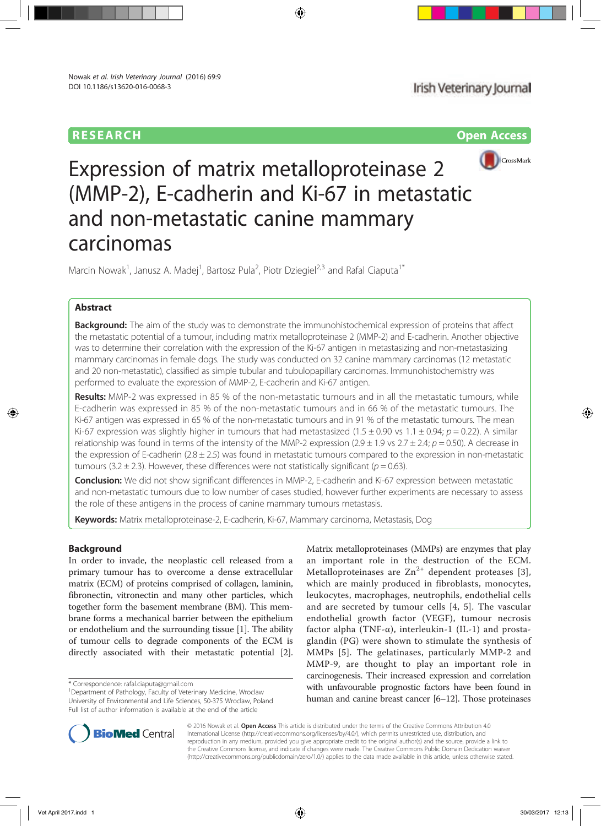



# Expression of matrix metalloproteinase 2 (MMP-2), E-cadherin and Ki-67 in metastatic and non-metastatic canine mammary carcinomas

Marcin Nowak<sup>1</sup>, Janusz A. Madej<sup>1</sup>, Bartosz Pula<sup>2</sup>, Piotr Dziegiel<sup>2,3</sup> and Rafal Ciaputa<sup>1\*</sup>

## Abstract

**Background:** The aim of the study was to demonstrate the immunohistochemical expression of proteins that affect the metastatic potential of a tumour, including matrix metalloproteinase 2 (MMP-2) and E-cadherin. Another objective was to determine their correlation with the expression of the Ki-67 antigen in metastasizing and non-metastasizing mammary carcinomas in female dogs. The study was conducted on 32 canine mammary carcinomas (12 metastatic and 20 non-metastatic), classified as simple tubular and tubulopapillary carcinomas. Immunohistochemistry was performed to evaluate the expression of MMP-2, E-cadherin and Ki-67 antigen.

Results: MMP-2 was expressed in 85 % of the non-metastatic tumours and in all the metastatic tumours, while E-cadherin was expressed in 85 % of the non-metastatic tumours and in 66 % of the metastatic tumours. The Ki-67 antigen was expressed in 65 % of the non-metastatic tumours and in 91 % of the metastatic tumours. The mean Ki-67 expression was slightly higher in tumours that had metastasized (1.5  $\pm$  0.90 vs 1.1  $\pm$  0.94; p = 0.22). A similar relationship was found in terms of the intensity of the MMP-2 expression (2.9  $\pm$  1.9 vs 2.7  $\pm$  2.4;  $p = 0.50$ ). A decrease in the expression of E-cadherin ( $2.8 \pm 2.5$ ) was found in metastatic tumours compared to the expression in non-metastatic tumours (3.2  $\pm$  2.3). However, these differences were not statistically significant ( $p = 0.63$ ).

Conclusion: We did not show significant differences in MMP-2, E-cadherin and Ki-67 expression between metastatic and non-metastatic tumours due to low number of cases studied, however further experiments are necessary to assess the role of these antigens in the process of canine mammary tumours metastasis.

Keywords: Matrix metalloproteinase-2, E-cadherin, Ki-67, Mammary carcinoma, Metastasis, Dog

## Background

In order to invade, the neoplastic cell released from a primary tumour has to overcome a dense extracellular matrix (ECM) of proteins comprised of collagen, laminin, fibronectin, vitronectin and many other particles, which together form the basement membrane (BM). This membrane forms a mechanical barrier between the epithelium or endothelium and the surrounding tissue [1]. The ability of tumour cells to degrade components of the ECM is directly associated with their metastatic potential [2].

\* Correspondence: rafal.ciaputa@gmail.com <sup>1</sup>

Matrix metalloproteinases (MMPs) are enzymes that play an important role in the destruction of the ECM. Metalloproteinases are  $Zn^{2+}$  dependent proteases [3], which are mainly produced in fibroblasts, monocytes, leukocytes, macrophages, neutrophils, endothelial cells and are secreted by tumour cells [4, 5]. The vascular endothelial growth factor (VEGF), tumour necrosis factor alpha (TNF- $\alpha$ ), interleukin-1 (IL-1) and prostaglandin (PG) were shown to stimulate the synthesis of MMPs [5]. The gelatinases, particularly MMP-2 and MMP-9, are thought to play an important role in carcinogenesis. Their increased expression and correlation with unfavourable prognostic factors have been found in human and canine breast cancer [6–12]. Those proteinases



© 2016 Nowak et al. Open Access This article is distributed under the terms of the Creative Commons Attribution 4.0 International License (http://creativecommons.org/licenses/by/4.0/), which permits unrestricted use, distribution, and reproduction in any medium, provided you give appropriate credit to the original author(s) and the source, provide a link to the Creative Commons license, and indicate if changes were made. The Creative Commons Public Domain Dedication waiver (http://creativecommons.org/publicdomain/zero/1.0/) applies to the data made available in this article, unless otherwise stated.

<sup>&</sup>lt;sup>1</sup>Department of Pathology, Faculty of Veterinary Medicine, Wroclaw University of Environmental and Life Sciences, 50-375 Wroclaw, Poland Full list of author information is available at the end of the article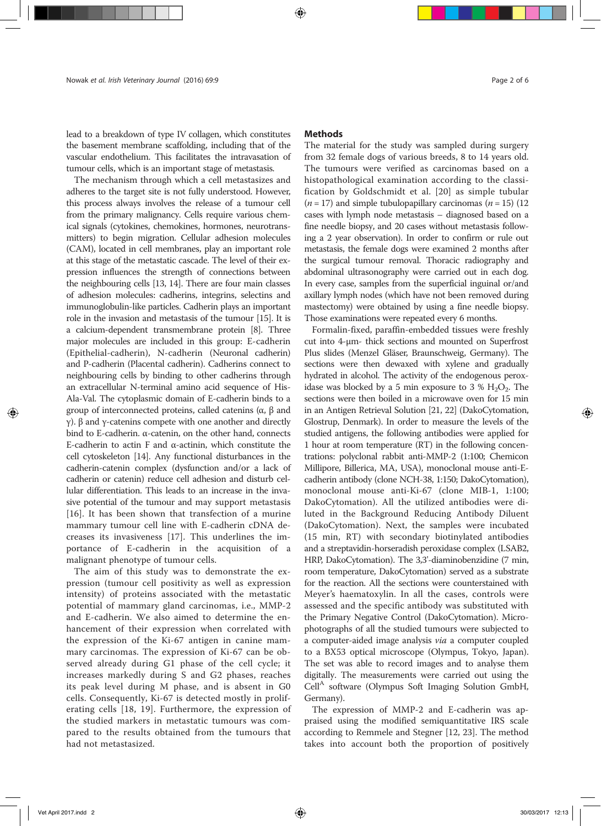lead to a breakdown of type IV collagen, which constitutes the basement membrane scaffolding, including that of the vascular endothelium. This facilitates the intravasation of tumour cells, which is an important stage of metastasis.

The mechanism through which a cell metastasizes and adheres to the target site is not fully understood. However, this process always involves the release of a tumour cell from the primary malignancy. Cells require various chemical signals (cytokines, chemokines, hormones, neurotransmitters) to begin migration. Cellular adhesion molecules (CAM), located in cell membranes, play an important role at this stage of the metastatic cascade. The level of their expression influences the strength of connections between the neighbouring cells [13, 14]. There are four main classes of adhesion molecules: cadherins, integrins, selectins and immunoglobulin-like particles. Cadherin plays an important role in the invasion and metastasis of the tumour [15]. It is a calcium-dependent transmembrane protein [8]. Three major molecules are included in this group: E-cadherin (Epithelial-cadherin), N-cadherin (Neuronal cadherin) and P-cadherin (Placental cadherin). Cadherins connect to neighbouring cells by binding to other cadherins through an extracellular N-terminal amino acid sequence of His-Ala-Val. The cytoplasmic domain of E-cadherin binds to a group of interconnected proteins, called catenins (α, β and γ). β and γ-catenins compete with one another and directly bind to E-cadherin. α-catenin, on the other hand, connects E-cadherin to actin F and α-actinin, which constitute the cell cytoskeleton [14]. Any functional disturbances in the cadherin-catenin complex (dysfunction and/or a lack of cadherin or catenin) reduce cell adhesion and disturb cellular differentiation. This leads to an increase in the invasive potential of the tumour and may support metastasis [16]. It has been shown that transfection of a murine mammary tumour cell line with E-cadherin cDNA decreases its invasiveness [17]. This underlines the importance of E-cadherin in the acquisition of a malignant phenotype of tumour cells.

The aim of this study was to demonstrate the expression (tumour cell positivity as well as expression intensity) of proteins associated with the metastatic potential of mammary gland carcinomas, i.e., MMP-2 and E-cadherin. We also aimed to determine the enhancement of their expression when correlated with the expression of the Ki-67 antigen in canine mammary carcinomas. The expression of Ki-67 can be observed already during G1 phase of the cell cycle; it increases markedly during S and G2 phases, reaches its peak level during M phase, and is absent in G0 cells. Consequently, Ki-67 is detected mostly in proliferating cells [18, 19]. Furthermore, the expression of the studied markers in metastatic tumours was compared to the results obtained from the tumours that had not metastasized.

## **Methods**

The material for the study was sampled during surgery from 32 female dogs of various breeds, 8 to 14 years old. The tumours were verified as carcinomas based on a histopathological examination according to the classification by Goldschmidt et al. [20] as simple tubular  $(n = 17)$  and simple tubulopapillary carcinomas  $(n = 15)$  (12) cases with lymph node metastasis – diagnosed based on a fine needle biopsy, and 20 cases without metastasis following a 2 year observation). In order to confirm or rule out metastasis, the female dogs were examined 2 months after the surgical tumour removal. Thoracic radiography and abdominal ultrasonography were carried out in each dog. In every case, samples from the superficial inguinal or/and axillary lymph nodes (which have not been removed during mastectomy) were obtained by using a fine needle biopsy. Those examinations were repeated every 6 months.

Formalin-fixed, paraffin-embedded tissues were freshly cut into 4-μm- thick sections and mounted on Superfrost Plus slides (Menzel Gläser, Braunschweig, Germany). The sections were then dewaxed with xylene and gradually hydrated in alcohol. The activity of the endogenous peroxidase was blocked by a 5 min exposure to 3 %  $H_2O_2$ . The sections were then boiled in a microwave oven for 15 min in an Antigen Retrieval Solution [21, 22] (DakoCytomation, Glostrup, Denmark). In order to measure the levels of the studied antigens, the following antibodies were applied for 1 hour at room temperature (RT) in the following concentrations: polyclonal rabbit anti-MMP-2 (1:100; Chemicon Millipore, Billerica, MA, USA), monoclonal mouse anti-Ecadherin antibody (clone NCH-38, 1:150; DakoCytomation), monoclonal mouse anti-Ki-67 (clone MIB-1, 1:100; DakoCytomation). All the utilized antibodies were diluted in the Background Reducing Antibody Diluent (DakoCytomation). Next, the samples were incubated (15 min, RT) with secondary biotinylated antibodies and a streptavidin-horseradish peroxidase complex (LSAB2, HRP, DakoCytomation). The 3,3'-diaminobenzidine (7 min, room temperature, DakoCytomation) served as a substrate for the reaction. All the sections were counterstained with Meyer's haematoxylin. In all the cases, controls were assessed and the specific antibody was substituted with the Primary Negative Control (DakoCytomation). Microphotographs of all the studied tumours were subjected to a computer-aided image analysis via a computer coupled to a BX53 optical microscope (Olympus, Tokyo, Japan). The set was able to record images and to analyse them digitally. The measurements were carried out using the Cell<sup>A</sup> software (Olympus Soft Imaging Solution GmbH, Germany).

The expression of MMP-2 and E-cadherin was appraised using the modified semiquantitative IRS scale according to Remmele and Stegner [12, 23]. The method takes into account both the proportion of positively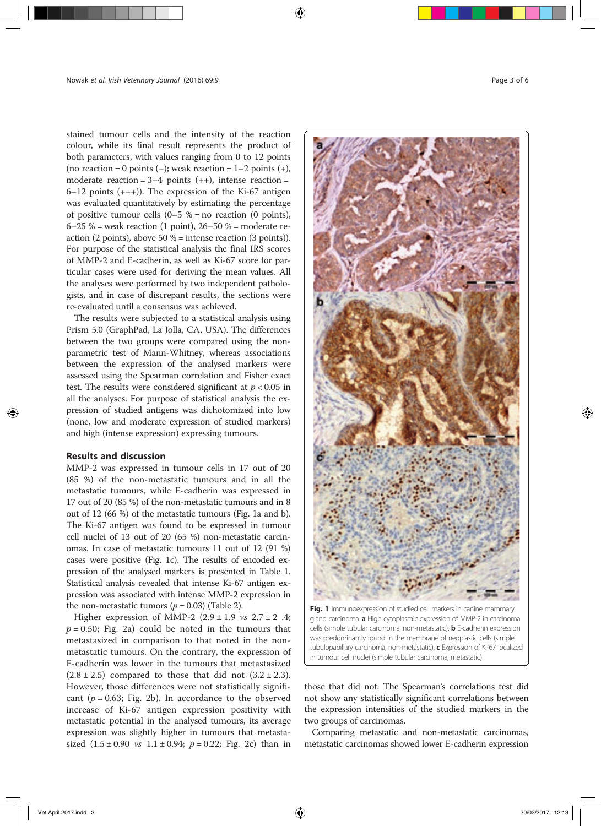stained tumour cells and the intensity of the reaction colour, while its final result represents the product of both parameters, with values ranging from 0 to 12 points (no reaction = 0 points (−); weak reaction =  $1-2$  points (+), moderate reaction =  $3-4$  points  $(++)$ , intense reaction =  $6-12$  points  $(+++)$ ). The expression of the Ki-67 antigen was evaluated quantitatively by estimating the percentage of positive tumour cells  $(0-5 % = no reaction (0 points))$ ,  $6-25$  % = weak reaction (1 point),  $26-50$  % = moderate reaction (2 points), above 50 % = intense reaction (3 points)). For purpose of the statistical analysis the final IRS scores of MMP-2 and E-cadherin, as well as Ki-67 score for particular cases were used for deriving the mean values. All the analyses were performed by two independent pathologists, and in case of discrepant results, the sections were re-evaluated until a consensus was achieved.

The results were subjected to a statistical analysis using Prism 5.0 (GraphPad, La Jolla, CA, USA). The differences between the two groups were compared using the nonparametric test of Mann-Whitney, whereas associations between the expression of the analysed markers were assessed using the Spearman correlation and Fisher exact test. The results were considered significant at  $p < 0.05$  in all the analyses. For purpose of statistical analysis the expression of studied antigens was dichotomized into low (none, low and moderate expression of studied markers) and high (intense expression) expressing tumours.

## Results and discussion

MMP-2 was expressed in tumour cells in 17 out of 20 (85 %) of the non-metastatic tumours and in all the metastatic tumours, while E-cadherin was expressed in 17 out of 20 (85 %) of the non-metastatic tumours and in 8 out of 12 (66 %) of the metastatic tumours (Fig. 1a and b). The Ki-67 antigen was found to be expressed in tumour cell nuclei of 13 out of 20 (65 %) non-metastatic carcinomas. In case of metastatic tumours 11 out of 12 (91 %) cases were positive (Fig. 1c). The results of encoded expression of the analysed markers is presented in Table 1. Statistical analysis revealed that intense Ki-67 antigen expression was associated with intense MMP-2 expression in the non-metastatic tumors ( $p = 0.03$ ) (Table 2).

Higher expression of MMP-2  $(2.9 \pm 1.9 \text{ vs } 2.7 \pm 2.4;$  $p = 0.50$ ; Fig. 2a) could be noted in the tumours that metastasized in comparison to that noted in the nonmetastatic tumours. On the contrary, the expression of E-cadherin was lower in the tumours that metastasized  $(2.8 \pm 2.5)$  compared to those that did not  $(3.2 \pm 2.3)$ . However, those differences were not statistically significant ( $p = 0.63$ ; Fig. 2b). In accordance to the observed increase of Ki-67 antigen expression positivity with metastatic potential in the analysed tumours, its average expression was slightly higher in tumours that metastasized  $(1.5 \pm 0.90 \text{ vs } 1.1 \pm 0.94; p = 0.22; Fig. 2c)$  than in



Fig. 1 Immunoexpression of studied cell markers in canine mammary gland carcinoma. a High cytoplasmic expression of MMP-2 in carcinoma cells (simple tubular carcinoma, non-metastatic). **b** E-cadherin expression was predominantly found in the membrane of neoplastic cells (simple tubulopapillary carcinoma, non-metastatic). c Expression of Ki-67 localized in tumour cell nuclei (simple tubular carcinoma, metastatic)

those that did not. The Spearman's correlations test did not show any statistically significant correlations between the expression intensities of the studied markers in the two groups of carcinomas.

Comparing metastatic and non-metastatic carcinomas, metastatic carcinomas showed lower E-cadherin expression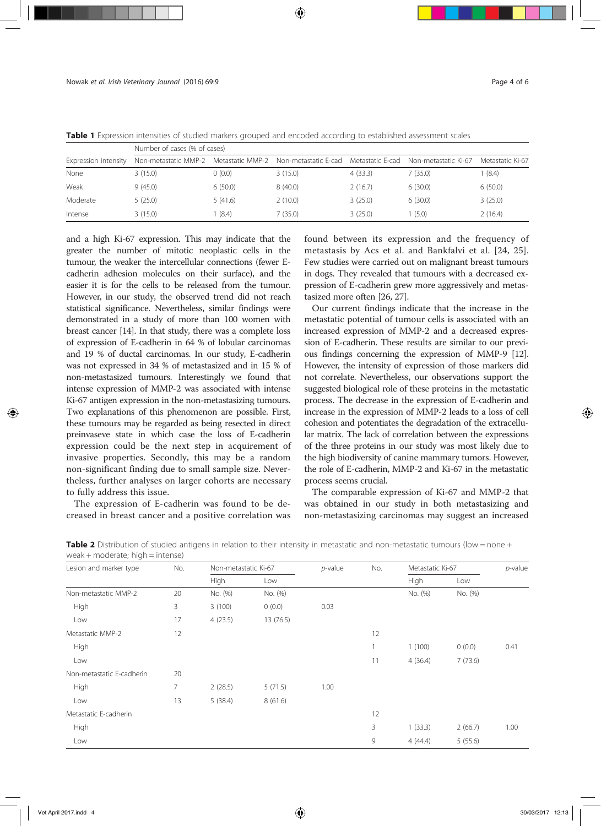|                      | Number of cases (% of cases) |         |                                       |                  |                      |                  |  |  |  |
|----------------------|------------------------------|---------|---------------------------------------|------------------|----------------------|------------------|--|--|--|
| Expression intensity | Non-metastatic MMP-2         |         | Metastatic MMP-2 Non-metastatic E-cad | Metastatic E-cad | Non-metastatic Ki-67 | Metastatic Ki-67 |  |  |  |
| None                 | 3(15.0)                      | (0.0)   | 3(15.0)                               | 4(33.3)          | 7 (35.0)             | 1(8.4)           |  |  |  |
| Weak                 | 9(45.0)                      | 6(50.0) | 8(40.0)                               | 2(16.7)          | 6(30.0)              | 6(50.0)          |  |  |  |
| Moderate             | 5(25.0)                      | 5(41.6) | 2(10.0)                               | 3(25.0)          | 6(30.0)              | 3(25.0)          |  |  |  |
| Intense              | 3(15.0)                      | (8.4)   | 7(35.0)                               | 3(25.0)          | (5.0)                | 2(16.4)          |  |  |  |

Table 1 Expression intensities of studied markers grouped and encoded according to established assessment scales

and a high Ki-67 expression. This may indicate that the greater the number of mitotic neoplastic cells in the tumour, the weaker the intercellular connections (fewer Ecadherin adhesion molecules on their surface), and the easier it is for the cells to be released from the tumour. However, in our study, the observed trend did not reach statistical significance. Nevertheless, similar findings were demonstrated in a study of more than 100 women with breast cancer [14]. In that study, there was a complete loss of expression of E-cadherin in 64 % of lobular carcinomas and 19 % of ductal carcinomas. In our study, E-cadherin was not expressed in 34 % of metastasized and in 15 % of non-metastasized tumours. Interestingly we found that intense expression of MMP-2 was associated with intense Ki-67 antigen expression in the non-metastasizing tumours. Two explanations of this phenomenon are possible. First, these tumours may be regarded as being resected in direct preinvaseve state in which case the loss of E-cadherin expression could be the next step in acquirement of invasive properties. Secondly, this may be a random non-significant finding due to small sample size. Nevertheless, further analyses on larger cohorts are necessary to fully address this issue.

The expression of E-cadherin was found to be decreased in breast cancer and a positive correlation was found between its expression and the frequency of metastasis by Acs et al. and Bankfalvi et al. [24, 25]. Few studies were carried out on malignant breast tumours in dogs. They revealed that tumours with a decreased expression of E-cadherin grew more aggressively and metastasized more often [26, 27].

Our current findings indicate that the increase in the metastatic potential of tumour cells is associated with an increased expression of MMP-2 and a decreased expression of E-cadherin. These results are similar to our previous findings concerning the expression of MMP-9 [12]. However, the intensity of expression of those markers did not correlate. Nevertheless, our observations support the suggested biological role of these proteins in the metastatic process. The decrease in the expression of E-cadherin and increase in the expression of MMP-2 leads to a loss of cell cohesion and potentiates the degradation of the extracellular matrix. The lack of correlation between the expressions of the three proteins in our study was most likely due to the high biodiversity of canine mammary tumors. However, the role of E-cadherin, MMP-2 and Ki-67 in the metastatic process seems crucial.

The comparable expression of Ki-67 and MMP-2 that was obtained in our study in both metastasizing and non-metastasizing carcinomas may suggest an increased

| Lesion and marker type    | No. | Non-metastatic Ki-67 |          | $p$ -value | No. | Metastatic Ki-67 |         | $p$ -value |
|---------------------------|-----|----------------------|----------|------------|-----|------------------|---------|------------|
|                           |     | High                 | Low      |            |     | High             | Low     |            |
| Non-metastatic MMP-2      | 20  | No. (%)              | No. (%)  |            |     | No. (%)          | No. (%) |            |
| High                      | 3   | 3(100)               | 0(0.0)   | 0.03       |     |                  |         |            |
| Low                       | 17  | 4(23.5)              | 13(76.5) |            |     |                  |         |            |
| Metastatic MMP-2          | 12  |                      |          |            | 12  |                  |         |            |
| High                      |     |                      |          |            | 1   | 1(100)           | 0(0.0)  | 0.41       |
| Low                       |     |                      |          |            | 11  | 4(36.4)          | 7(73.6) |            |
| Non-metastatic E-cadherin | 20  |                      |          |            |     |                  |         |            |
| High                      | 7   | 2(28.5)              | 5(71.5)  | 1.00       |     |                  |         |            |
| Low                       | 13  | 5(38.4)              | 8(61.6)  |            |     |                  |         |            |
| Metastatic E-cadherin     |     |                      |          |            | 12  |                  |         |            |
| High                      |     |                      |          |            | 3   | 1(33.3)          | 2(66.7) | 1.00       |
| Low                       |     |                      |          |            | 9   | 4(44.4)          | 5(55.6) |            |

Table 2 Distribution of studied antigens in relation to their intensity in metastatic and non-metastatic tumours (low = none + weak + moderate; high = intense)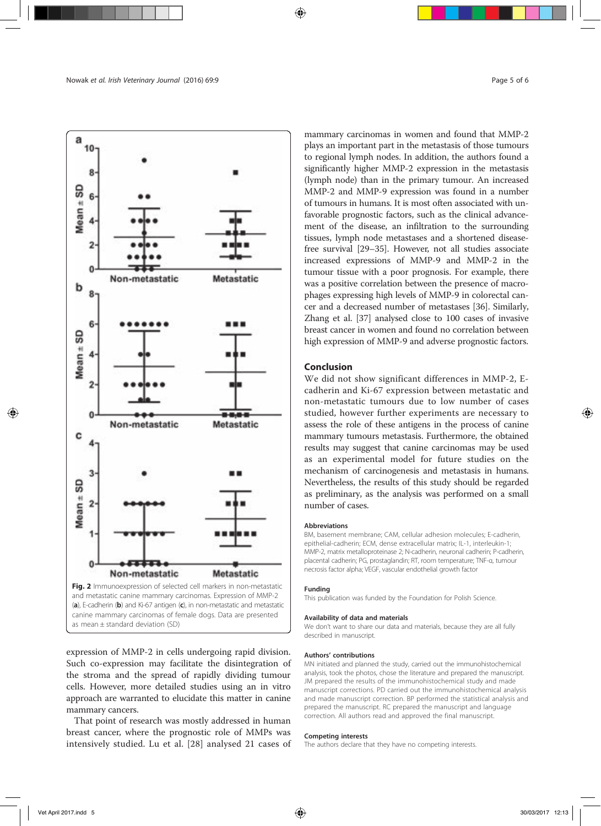

expression of MMP-2 in cells undergoing rapid division. Such co-expression may facilitate the disintegration of the stroma and the spread of rapidly dividing tumour cells. However, more detailed studies using an in vitro approach are warranted to elucidate this matter in canine mammary cancers.

That point of research was mostly addressed in human breast cancer, where the prognostic role of MMPs was intensively studied. Lu et al. [28] analysed 21 cases of mammary carcinomas in women and found that MMP-2 plays an important part in the metastasis of those tumours to regional lymph nodes. In addition, the authors found a significantly higher MMP-2 expression in the metastasis (lymph node) than in the primary tumour. An increased MMP-2 and MMP-9 expression was found in a number of tumours in humans. It is most often associated with unfavorable prognostic factors, such as the clinical advancement of the disease, an infiltration to the surrounding tissues, lymph node metastases and a shortened diseasefree survival [29–35]. However, not all studies associate increased expressions of MMP-9 and MMP-2 in the tumour tissue with a poor prognosis. For example, there was a positive correlation between the presence of macrophages expressing high levels of MMP-9 in colorectal cancer and a decreased number of metastases [36]. Similarly, Zhang et al. [37] analysed close to 100 cases of invasive breast cancer in women and found no correlation between high expression of MMP-9 and adverse prognostic factors.

## Conclusion

We did not show significant differences in MMP-2, Ecadherin and Ki-67 expression between metastatic and non-metastatic tumours due to low number of cases studied, however further experiments are necessary to assess the role of these antigens in the process of canine mammary tumours metastasis. Furthermore, the obtained results may suggest that canine carcinomas may be used as an experimental model for future studies on the mechanism of carcinogenesis and metastasis in humans. Nevertheless, the results of this study should be regarded as preliminary, as the analysis was performed on a small number of cases.

#### Abbreviations

BM, basement membrane; CAM, cellular adhesion molecules; E-cadherin, epithelial-cadherin; ECM, dense extracellular matrix; IL-1, interleukin-1; MMP-2, matrix metalloproteinase 2; N-cadherin, neuronal cadherin; P-cadherin, placental cadherin; PG, prostaglandin; RT, room temperature; TNF-α, tumour necrosis factor alpha; VEGF, vascular endothelial growth factor

#### Funding

This publication was funded by the Foundation for Polish Science.

#### Availability of data and materials

We don't want to share our data and materials, because they are all fully described in manuscript.

### Authors' contributions

MN initiated and planned the study, carried out the immunohistochemical analysis, took the photos, chose the literature and prepared the manuscript. JM prepared the results of the immunohistochemical study and made manuscript corrections. PD carried out the immunohistochemical analysis and made manuscript correction. BP performed the statistical analysis and prepared the manuscript. RC prepared the manuscript and language correction. All authors read and approved the final manuscript.

#### Competing interests

The authors declare that they have no competing interests.